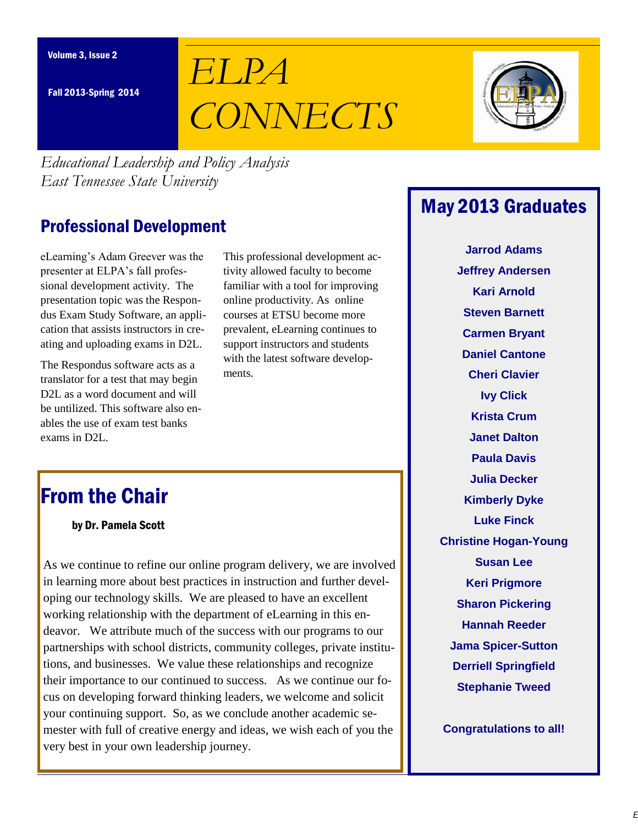Fall 2013-Spring 2014

# *ELPA CONNECTS*



*Educational Leadership and Policy Analysis East Tennessee State University*

## Professional Development

eLearning's Adam Greever was the presenter at ELPA's fall professional development activity. The presentation topic was the Respondus Exam Study Software, an application that assists instructors in creating and uploading exams in D2L.

The Respondus software acts as a translator for a test that may begin D<sub>2</sub>L as a word document and will be untilized. This software also enables the use of exam test banks exams in D2L.

This professional development activity allowed faculty to become familiar with a tool for improving online productivity. As online courses at ETSU become more prevalent, eLearning continues to support instructors and students with the latest software developments.

# From the Chair

by Dr. Pamela Scott

As we continue to refine our online program delivery, we are involved in learning more about best practices in instruction and further developing our technology skills. We are pleased to have an excellent working relationship with the department of eLearning in this endeavor. We attribute much of the success with our programs to our partnerships with school districts, community colleges, private institutions, and businesses. We value these relationships and recognize their importance to our continued to success. As we continue our focus on developing forward thinking leaders, we welcome and solicit your continuing support. So, as we conclude another academic semester with full of creative energy and ideas, we wish each of you the very best in your own leadership journey.

# May 2013 Graduates

**Jarrod Adams Jeffrey Andersen Kari Arnold Steven Barnett Carmen Bryant Daniel Cantone Cheri Clavier Ivy Click Krista Crum Janet Dalton Paula Davis Julia Decker Kimberly Dyke Luke Finck Christine Hogan-Young Susan Lee Keri Prigmore Sharon Pickering Hannah Reeder Jama Spicer-Sutton Derriell Springfield Stephanie Tweed**

**Congratulations to all!**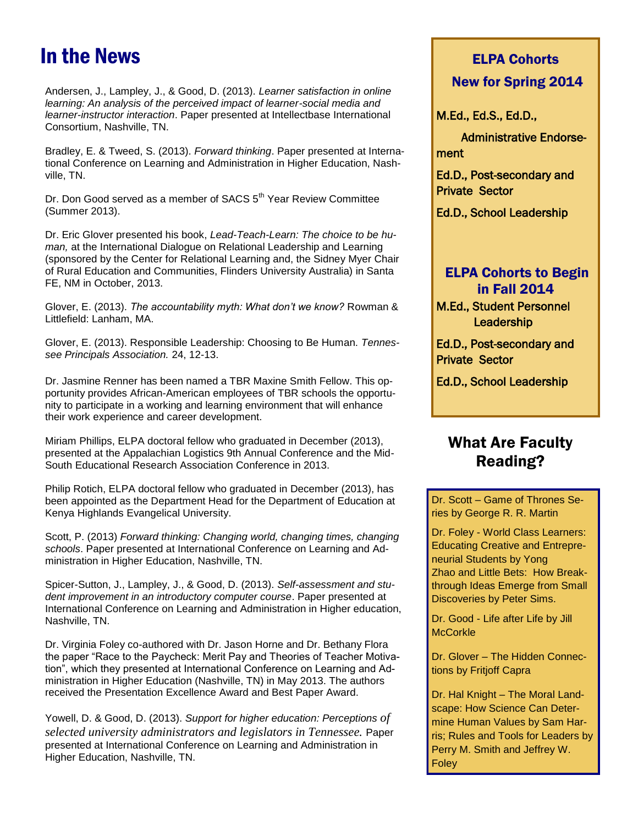# In the News

Andersen, J., Lampley, J., & Good, D. (2013). Learner satisfaction in online learning: An analysis of the perceived impact of learner-social media and learner-instructor interaction. Paper presented at Intellectbase International Consortium, Nashville, TN.

Bradley, E. & Tweed, S. (2013). Forward thinking. Paper presented at International Conference on Learning and Administration in Higher Education, Nashville, TN.

Dr. Don Good served as a member of SACS 5<sup>th</sup> Year Review Committee (Summer 2013).

Dr. Eric Glover presented his book, Lead-Teach-Learn: The choice to be human, at the International Dialogue on Relational Leadership and Learning (sponsored by the Center for Relational Learning and, the Sidney Myer Chair of Rural Education and Communities, Flinders University Australia) in Santa FE, NM in October, 2013.

Glover, E. (2013). *The accountability myth: What don't we know?* Rowman & Littlefield: Lanham, MA.

Glover, E. (2013). Responsible Leadership: Choosing to Be Human. Tennessee Principals Association. 24, 12-13.

Dr. Jasmine Renner has been named a TBR Maxine Smith Fellow. This opportunity provides African-American employees of TBR schools the opportunity to participate in a working and learning environment that will enhance their work experience and career development.

Miriam Phillips, ELPA doctoral fellow who graduated in December (2013), presented at the Appalachian Logistics 9th Annual Conference and the Mid-South Educational Research Association Conference in 2013.

Philip Rotich, ELPA doctoral fellow who graduated in December (2013), has been appointed as the Department Head for the Department of Education at Kenya Highlands Evangelical University.

Scott, P. (2013) Forward thinking: Changing world, changing times, changing schools. Paper presented at International Conference on Learning and Administration in Higher Education, Nashville, TN.

Spicer-Sutton, J., Lampley, J., & Good, D. (2013). Self-assessment and student improvement in an introductory computer course. Paper presented at International Conference on Learning and Administration in Higher education, Nashville, TN.

Dr. Virginia Foley co-authored with Dr. Jason Horne and Dr. Bethany Flora the paper "Race to the Paycheck: Merit Pay and Theories of Teacher Motivation", which they presented at International Conference on Learning and Administration in Higher Education (Nashville, TN) in May 2013. The authors received the Presentation Excellence Award and Best Paper Award.

Yowell, D. & Good, D. (2013). Support for higher education: Perceptions *of selected university administrators and legislators in Tennessee.* Paper presented at International Conference on Learning and Administration in Higher Education, Nashville, TN.

# ELPA Cohorts

#### New for Spring 2014

M.Ed., Ed.S., Ed.D.,

 Administrative Endorsement

Ed.D., Post-secondary and Private Sector

Ed.D., School Leadership

#### ELPA Cohorts to Begin in Fall 2014

M.Ed., Student Personnel **Leadership** 

Ed.D., Post-secondary and Private Sector

Ed.D., School Leadership

### What Are Faculty Reading?

Dr. Scott – Game of Thrones Series by George R. R. Martin

Dr. Foley - World Class Learners: Educating Creative and Entrepreneurial Students by Yong Zhao and Little Bets: How Breakthrough Ideas Emerge from Small Discoveries by Peter Sims.

Dr. Good - Life after Life by Jill **McCorkle** 

Dr. Glover – The Hidden Connections by Fritjoff Capra

Dr. Hal Knight – The Moral Landscape: How Science Can Determine Human Values by Sam Harris; Rules and Tools for Leaders by Perry M. Smith and Jeffrey W. Foley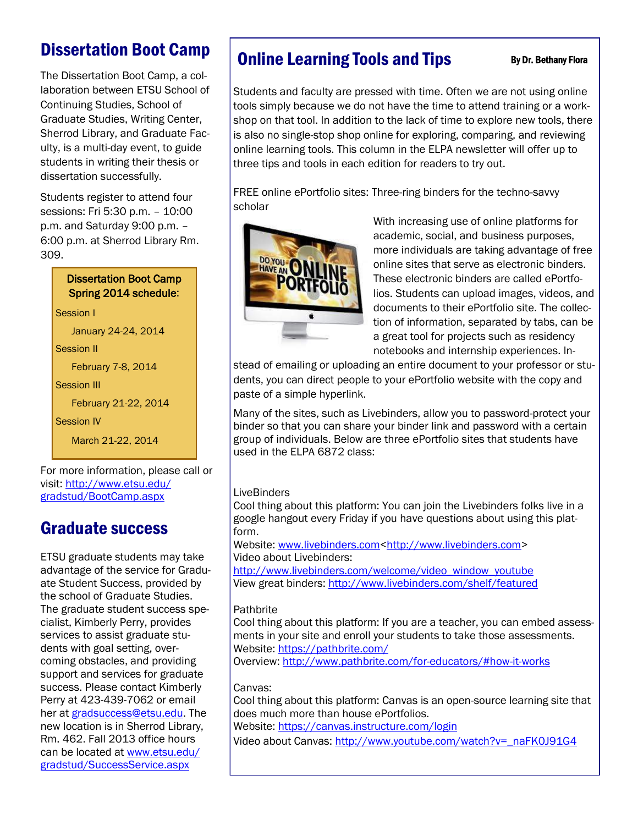# Dissertation Boot Camp

The Dissertation Boot Camp, a collaboration between ETSU School of Continuing Studies, School of Graduate Studies, Writing Center, Sherrod Library, and Graduate Faculty, is a multi-day event, to guide students in writing their thesis or dissertation successfully.

Students register to attend four sessions: Fri 5:30 p.m. – 10:00 p.m. and Saturday 9:00 p.m. – 6:00 p.m. at Sherrod Library Rm. 309.

#### Dissertation Boot Camp Spring 2014 schedule:

Session I January 24-24, 2014 Session II February 7-8, 2014 Session III February 21-22, 2014 Session IV March 21-22, 2014

For more information, please call or visit: [http://www.etsu.edu/](http://www.etsu.edu/gradstud/BootCamp.aspx) [gradstud/BootCamp.aspx](http://www.etsu.edu/gradstud/BootCamp.aspx)

# Graduate success

ETSU graduate students may take advantage of the service for Graduate Student Success, provided by the school of Graduate Studies. The graduate student success specialist, Kimberly Perry, provides services to assist graduate students with goal setting, overcoming obstacles, and providing support and services for graduate success. Please contact Kimberly Perry at 423-439-7062 or email her at [gradsuccess@etsu.edu.](mailto:gradsuccess@etsu.edu) The new location is in Sherrod Library, Rm. 462. Fall 2013 office hours can be located at [www.etsu.edu/](http://www.etsu.edu/gradstud/SuccessService.aspx) [gradstud/SuccessService.aspx](http://www.etsu.edu/gradstud/SuccessService.aspx)

# **Online Learning Tools and Tips** By Dr. Bethany Flora

Students and faculty are pressed with time. Often we are not using online tools simply because we do not have the time to attend training or a workshop on that tool. In addition to the lack of time to explore new tools, there is also no single-stop shop online for exploring, comparing, and reviewing online learning tools. This column in the ELPA newsletter will offer up to three tips and tools in each edition for readers to try out.

FREE online ePortfolio sites: Three-ring binders for the techno-savvy scholar



With increasing use of online platforms for academic, social, and business purposes, more individuals are taking advantage of free online sites that serve as electronic binders. These electronic binders are called ePortfolios. Students can upload images, videos, and documents to their ePortfolio site. The collection of information, separated by tabs, can be a great tool for projects such as residency notebooks and internship experiences. In-

stead of emailing or uploading an entire document to your professor or students, you can direct people to your ePortfolio website with the copy and paste of a simple hyperlink.

Many of the sites, such as Livebinders, allow you to password-protect your binder so that you can share your binder link and password with a certain group of individuals. Below are three ePortfolio sites that students have used in the ELPA 6872 class:

#### **LiveBinders**

Cool thing about this platform: You can join the Livebinders folks live in a google hangout every Friday if you have questions about using this platform.

Website: [www.livebinders.com<http://www.livebinders.com>](http://www.livebinders.com) Video about Livebinders:

[http://www.livebinders.com/welcome/video\\_window\\_youtube](http://www.livebinders.com/welcome/video_window_youtube) View great binders:<http://www.livebinders.com/shelf/featured>

#### **Pathbrite**

Cool thing about this platform: If you are a teacher, you can embed assessments in your site and enroll your students to take those assessments. Website:<https://pathbrite.com/>

Overview:<http://www.pathbrite.com/for-educators/#how-it-works>

#### Canvas:

Cool thing about this platform: Canvas is an open-source learning site that does much more than house ePortfolios.

Website:<https://canvas.instructure.com/login>

Video about Canvas: [http://www.youtube.com/watch?v=\\_naFK0J91G4](http://www.youtube.com/watch?v=_naFK0J91G4)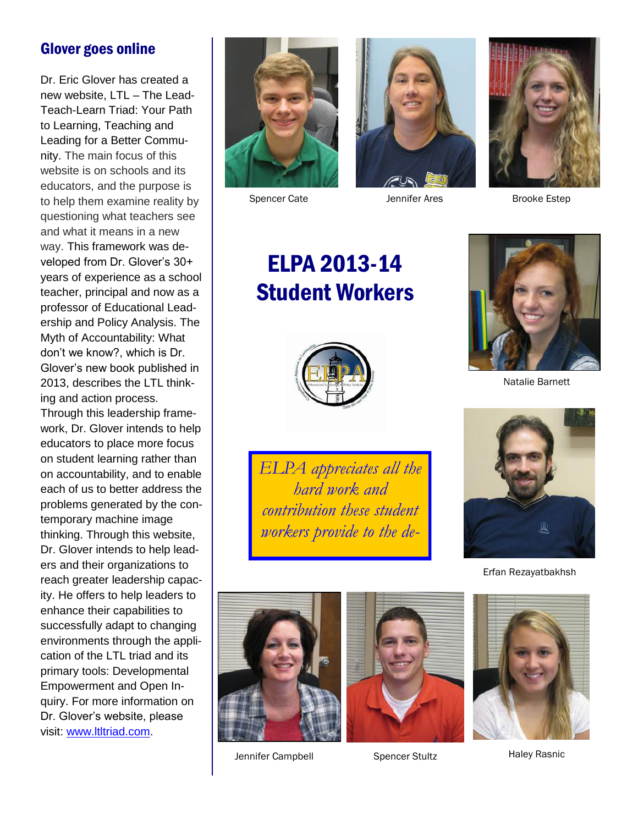### Glover goes online

Dr. Eric Glover has created a new website, LTL – The Lead-Teach-Learn Triad: Your Path to Learning, Teaching and Leading for a Better Community. The main focus of this website is on schools and its educators, and the purpose is to help them examine reality by questioning what teachers see and what it means in a new way. This framework was developed from Dr. Glover's 30+ years of experience as a school teacher, principal and now as a professor of Educational Leadership and Policy Analysis. The Myth of Accountability: What don't we know?, which is Dr. Glover's new book published in 2013, describes the LTL thinking and action process. Through this leadership framework, Dr. Glover intends to help educators to place more focus on student learning rather than on accountability, and to enable each of us to better address the problems generated by the contemporary machine image thinking. Through this website, Dr. Glover intends to help leaders and their organizations to reach greater leadership capacity. He offers to help leaders to enhance their capabilities to successfully adapt to changing environments through the application of the LTL triad and its primary tools: Developmental Empowerment and Open Inquiry. For more information on Dr. Glover's website, please visit: [www.ltltriad.com.](http://www.ltltriad.com)





Spencer Cate Jennifer Ares



Brooke Estep

# ELPA 2013-14 Student Workers



Natalie Barnett



*ELPA appreciates all the hard work and contribution these student workers provide to the de-*



Erfan Rezayatbakhsh







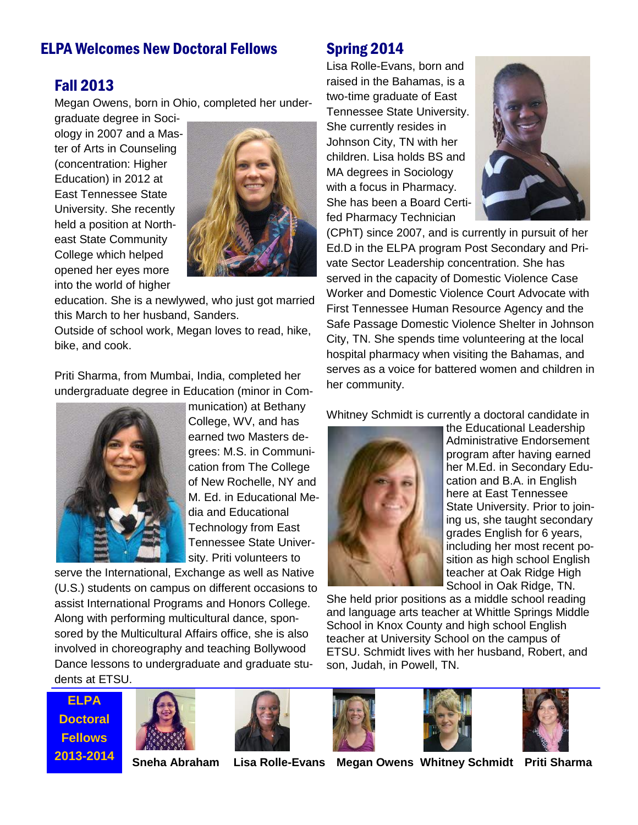### **ELPA Welcomes New Doctoral Fellows Spring 2014**

#### Fall 2013

Megan Owens, born in Ohio, completed her under-

graduate degree in Sociology in 2007 and a Master of Arts in Counseling (concentration: Higher Education) in 2012 at East Tennessee State University. She recently held a position at Northeast State Community College which helped opened her eyes more into the world of higher



education. She is a newlywed, who just got married this March to her husband, Sanders.

Outside of school work, Megan loves to read, hike, bike, and cook.

Priti Sharma, from Mumbai, India, completed her undergraduate degree in Education (minor in Com-



munication) at Bethany College, WV, and has earned two Masters degrees: M.S. in Communication from The College of New Rochelle, NY and M. Ed. in Educational Media and Educational Technology from East Tennessee State University. Priti volunteers to

serve the International, Exchange as well as Native (U.S.) students on campus on different occasions to assist International Programs and Honors College. Along with performing multicultural dance, sponsored by the Multicultural Affairs office, she is also involved in choreography and teaching Bollywood Dance lessons to undergraduate and graduate students at ETSU.

Lisa Rolle-Evans, born and raised in the Bahamas, is a two-time graduate of East Tennessee State University. She currently resides in Johnson City, TN with her children. Lisa holds BS and MA degrees in Sociology with a focus in Pharmacy. She has been a Board Certifed Pharmacy Technician



(CPhT) since 2007, and is currently in pursuit of her Ed.D in the ELPA program Post Secondary and Private Sector Leadership concentration. She has served in the capacity of Domestic Violence Case Worker and Domestic Violence Court Advocate with First Tennessee Human Resource Agency and the Safe Passage Domestic Violence Shelter in Johnson City, TN. She spends time volunteering at the local hospital pharmacy when visiting the Bahamas, and serves as a voice for battered women and children in her community.

Whitney Schmidt is currently a doctoral candidate in



the Educational Leadership Administrative Endorsement program after having earned her M.Ed. in Secondary Education and B.A. in English here at East Tennessee State University. Prior to joining us, she taught secondary grades English for 6 years, including her most recent position as high school English teacher at Oak Ridge High School in Oak Ridge, TN.

She held prior positions as a middle school reading and language arts teacher at Whittle Springs Middle School in Knox County and high school English teacher at University School on the campus of ETSU. Schmidt lives with her husband, Robert, and son, Judah, in Powell, TN.

**ELPA Doctoral Fellows**











**2013-2014 Sneha Abraham Lisa Rolle-Evans Megan Owens Whitney Schmidt Priti Sharma**